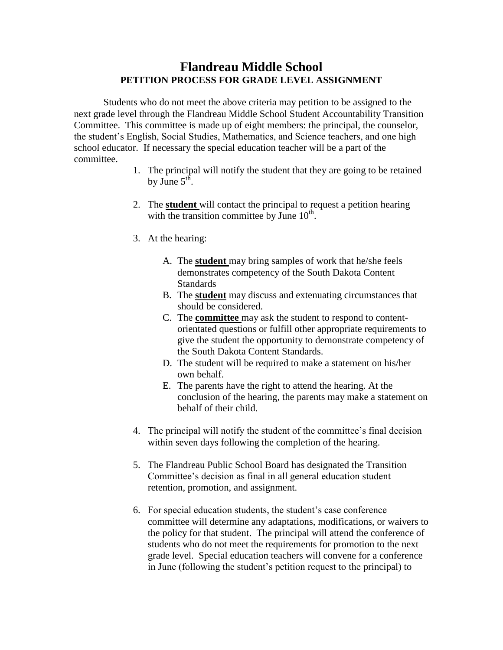## **Flandreau Middle School PETITION PROCESS FOR GRADE LEVEL ASSIGNMENT**

Students who do not meet the above criteria may petition to be assigned to the next grade level through the Flandreau Middle School Student Accountability Transition Committee. This committee is made up of eight members: the principal, the counselor, the student's English, Social Studies, Mathematics, and Science teachers, and one high school educator. If necessary the special education teacher will be a part of the committee.

- 1. The principal will notify the student that they are going to be retained by June  $5^{\text{th}}$ .
- 2. The **student** will contact the principal to request a petition hearing with the transition committee by June  $10<sup>th</sup>$ .
- 3. At the hearing:
	- A. The **student** may bring samples of work that he/she feels demonstrates competency of the South Dakota Content **Standards**
	- B. The **student** may discuss and extenuating circumstances that should be considered.
	- C. The **committee** may ask the student to respond to contentorientated questions or fulfill other appropriate requirements to give the student the opportunity to demonstrate competency of the South Dakota Content Standards.
	- D. The student will be required to make a statement on his/her own behalf.
	- E. The parents have the right to attend the hearing. At the conclusion of the hearing, the parents may make a statement on behalf of their child.
- 4. The principal will notify the student of the committee's final decision within seven days following the completion of the hearing.
- 5. The Flandreau Public School Board has designated the Transition Committee's decision as final in all general education student retention, promotion, and assignment.
- 6. For special education students, the student's case conference committee will determine any adaptations, modifications, or waivers to the policy for that student. The principal will attend the conference of students who do not meet the requirements for promotion to the next grade level. Special education teachers will convene for a conference in June (following the student's petition request to the principal) to